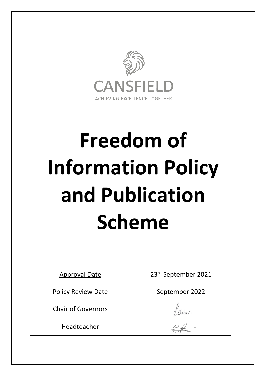

# **Freedom of Information Policy and Publication Scheme**

| <b>Approval Date</b>      | 23rd September 2021 |
|---------------------------|---------------------|
| <b>Policy Review Date</b> | September 2022      |
| <b>Chair of Governors</b> |                     |
| Headteacher               |                     |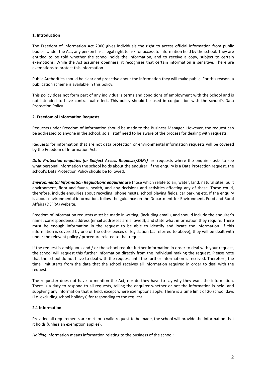## **1. Introduction**

The Freedom of Information Act 2000 gives individuals the right to access official information from public bodies. Under the Act, any person has a legal right to ask for access to information held by the school. They are entitled to be told whether the school holds the information, and to receive a copy, subject to certain exemptions. While the Act assumes openness, it recognises that certain information is sensitive. There are exemptions to protect this information.

Public Authorities should be clear and proactive about the information they will make public. For this reason, a publication scheme is available in this policy.

This policy does not form part of any individual's terms and conditions of employment with the School and is not intended to have contractual effect. This policy should be used in conjunction with the school's Data Protection Policy.

#### **2. Freedom of Information Requests**

Requests under Freedom of Information should be made to the Business Manager. However, the request can be addressed to anyone in the school; so all staff need to be aware of the process for dealing with requests.

Requests for information that are not data protection or environmental information requests will be covered by the Freedom of Information Act:

*Data Protection enquiries (or Subject Access Requests/SARs)* are requests where the enquirer asks to see what personal information the school holds about the enquirer. If the enquiry is a Data Protection request, the school's Data Protection Policy should be followed.

*Environmental Information Regulations enquiries* are those which relate to air, water, land, natural sites, built environment, flora and fauna, health, and any decisions and activities affecting any of these. These could, therefore, include enquiries about recycling, phone masts, school playing fields, car parking etc. If the enquiry is about environmental information, follow the guidance on the Department for Environment, Food and Rural Affairs (DEFRA) website.

Freedom of Information requests *must* be made in writing, (including email), and should include the enquirer's name, correspondence address (email addresses are allowed), and state what information they require. There must be enough information in the request to be able to identify and locate the information. If this information is covered by one of the other pieces of legislation (as referred to above), they will be dealt with under the relevant policy / procedure related to that request.

If the request is ambiguous and / or the school require further information in order to deal with your request, the school will request this further information directly from the individual making the request. Please note that the school do not have to deal with the request until the further information is received. Therefore, the time limit starts from the date that the school receives all information required in order to deal with the request.

The requester does not have to mention the Act, nor do they have to say why they want the information. There is a duty to respond to all requests, telling the enquirer whether or not the information is held, and supplying any information that is held, except where exemptions apply. There is a time limit of 20 school days (i.e. excluding school holidays) for responding to the request.

## **2.1 Information**

Provided all requirements are met for a valid request to be made, the school will provide the information that it holds (unless an exemption applies).

*Holding* information means information relating to the business of the school: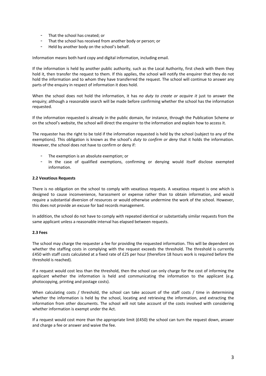- That the school has created; or
- That the school has received from another body or person; or
- Held by another body on the school's behalf.

Information means both hard copy and digital information, including email.

If the information is held by another public authority, such as the Local Authority, first check with them they hold it, then transfer the request to them. If this applies, the school will notify the enquirer that they do not hold the information and to whom they have transferred the request. The school will continue to answer any parts of the enquiry in respect of information it does hold.

When the school does not hold the information, it has *no duty to create or acquire it* just to answer the enquiry; although a reasonable search will be made before confirming whether the school has the information requested.

If the information requested is already in the public domain, for instance, through the Publication Scheme or on the school's website, the school will direct the enquirer to the information and explain how to access it.

The requester has the right to be told if the information requested is held by the school (subject to any of the exemptions). This obligation is known as the school's *duty to confirm or deny* that it holds the information. However, the school does not have to confirm or deny if:

- The exemption is an absolute exemption; or
- In the case of qualified exemptions, confirming or denying would itself disclose exempted information.

## **2.2 Vexatious Requests**

There is no obligation on the school to comply with vexatious requests. A vexatious request is one which is designed to cause inconvenience, harassment or expense rather than to obtain information, and would require a substantial diversion of resources or would otherwise undermine the work of the school. However, this does not provide an excuse for bad records management.

In addition, the school do not have to comply with repeated identical or substantially similar requests from the same applicant unless a reasonable interval has elapsed between requests.

## **2.3 Fees**

The school may charge the requester a fee for providing the requested information. This will be dependent on whether the staffing costs in complying with the request exceeds the threshold. The threshold is currently £450 with staff costs calculated at a fixed rate of £25 per hour (therefore 18 hours work is required before the threshold is reached).

If a request would cost less than the threshold, then the school can only charge for the cost of informing the applicant whether the information is held and communicating the information to the applicant (e.g. photocopying, printing and postage costs).

When calculating costs / threshold, the school can take account of the staff costs / time in determining whether the information is held by the school, locating and retrieving the information, and extracting the information from other documents. The school will not take account of the costs involved with considering whether information is exempt under the Act.

If a request would cost more than the appropriate limit (£450) the school can turn the request down, answer and charge a fee or answer and waive the fee.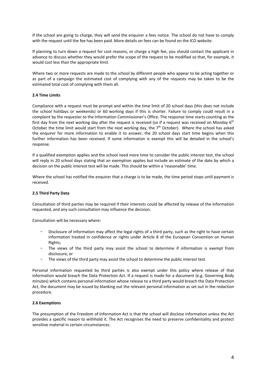If the school are going to charge, they will send the enquirer a fees notice. The school do not have to comply with the request until the fee has been paid. More details on fees can be found on the ICO website.

If planning to turn down a request for cost reasons, or charge a high fee, you should contact the applicant in advance to discuss whether they would prefer the scope of the request to be modified so that, for example, it would cost less than the appropriate limit.

Where two or more requests are made to the school by different people who appear to be acting together or as part of a campaign the estimated cost of complying with any of the requests may be taken to be the estimated total cost of complying with them all.

## **2.4 Time Limits**

Compliance with a request must be prompt and within the time limit of 20 school days (this does not include the school holidays or weekends) or 60 working days if this is shorter. Failure to comply could result in a complaint by the requester to the Information Commissioner's Office. The response time starts counting as the first day from the next working day after the request is received (so if a request was received on Monday 6<sup>th</sup> October the time limit would start from the next working day, the  $7<sup>th</sup>$  October). Where the school has asked the enquirer for more information to enable it to answer, the 20 school days start time begins when this further information has been received. If some information is exempt this will be detailed in the school's response.

If a qualified exemption applies and the school need more time to consider the public interest test, the school will reply in 20 school days stating that an exemption applies but include an estimate of the date by which a decision on the public interest test will be made. This should be within a 'reasonable' time.

Where the school has notified the enquirer that a charge is to be made, the time period stops until payment is received.

## **2.5 Third Party Data**

Consultation of third parties may be required if their interests could be affected by release of the information requested, and any such consultation may influence the decision.

Consultation will be necessary where:

- Disclosure of information may affect the legal rights of a third party, such as the right to have certain information treated in confidence or rights under Article 8 of the European Convention on Human Rights;
- The views of the third party may assist the school to determine if information is exempt from disclosure; or
- The views of the third party may assist the school to determine the public interest test.

Personal information requested by third parties is also exempt under this policy where release of that information would breach the Data Protection Act. If a request is made for a document (e.g. Governing Body minutes) which contains personal information whose release to a third party would breach the Data Protection Act, the document may be issued by blanking out the relevant personal information as set out in the redaction procedure.

## **2.6 Exemptions**

The presumption of the Freedom of Information Act is that the school will disclose information unless the Act provides a specific reason to withhold it. The Act recognises the need to preserve confidentiality and protect sensitive material in certain circumstances.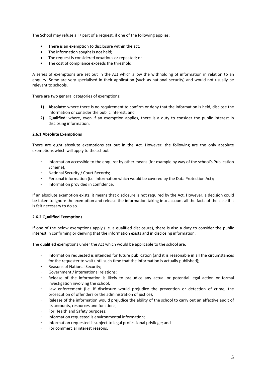The School may refuse all / part of a request, if one of the following applies:

- There is an exemption to disclosure within the act;
- The information sought is not held;
- The request is considered vexatious or repeated; or
- The cost of compliance exceeds the threshold.

A series of exemptions are set out in the Act which allow the withholding of information in relation to an enquiry. Some are very specialised in their application (such as national security) and would not usually be relevant to schools.

There are two general categories of exemptions:

- **1) Absolute**: where there is no requirement to confirm or deny that the information is held, disclose the information or consider the public interest; and
- **2) Qualified**: where, even if an exemption applies, there is a duty to consider the public interest in disclosing information.

## **2.6.1 Absolute Exemptions**

There are eight absolute exemptions set out in the Act. However, the following are the only absolute exemptions which will apply to the school:

- Information accessible to the enquirer by other means (for example by way of the school's Publication Scheme);
- National Security / Court Records;
- Personal information (i.e. information which would be covered by the Data Protection Act);
- Information provided in confidence.

If an absolute exemption exists, it means that disclosure is not required by the Act. However, a decision could be taken to ignore the exemption and release the information taking into account all the facts of the case if it is felt necessary to do so.

## **2.6.2 Qualified Exemptions**

If one of the below exemptions apply (i.e. a qualified disclosure), there is also a duty to consider the public interest in confirming or denying that the information exists and in disclosing information.

The qualified exemptions under the Act which would be applicable to the school are:

- Information requested is intended for future publication (and it is reasonable in all the circumstances for the requester to wait until such time that the information is actually published);
- Reasons of National Security;
- Government / international relations;
- Release of the information is likely to prejudice any actual or potential legal action or formal investigation involving the school;
- Law enforcement (i.e. if disclosure would prejudice the prevention or detection of crime, the prosecution of offenders or the administration of justice);
- Release of the information would prejudice the ability of the school to carry out an effective audit of its accounts, resources and functions;
- For Health and Safety purposes;
- Information requested is environmental information;
- Information requested is subject to legal professional privilege; and
- For commercial interest reasons.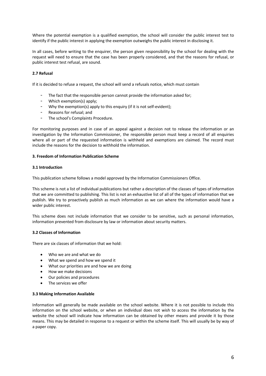Where the potential exemption is a qualified exemption, the school will consider the public interest test to identify if the public interest in applying the exemption outweighs the public interest in disclosing it.

In all cases, before writing to the enquirer, the person given responsibility by the school for dealing with the request will need to ensure that the case has been properly considered, and that the reasons for refusal, or public interest test refusal, are sound.

# **2.7 Refusal**

If it is decided to refuse a request, the school will send a refusals notice, which must contain

- The fact that the responsible person cannot provide the information asked for;
- Which exemption(s) apply;
- Why the exemption(s) apply to this enquiry (if it is not self-evident);
- Reasons for refusal: and
- The school's Complaints Procedure.

For monitoring purposes and in case of an appeal against a decision not to release the information or an investigation by the Information Commissioner, the responsible person must keep a record of all enquiries where all or part of the requested information is withheld and exemptions are claimed. The record must include the reasons for the decision to withhold the information.

## **3. Freedom of Information Publication Scheme**

#### **3.1 Introduction**

This publication scheme follows a model approved by the Information Commissioners Office.

This scheme is not a list of individual publications but rather a description of the classes of types of information that we are committed to publishing. This list is not an exhaustive list of all of the types of information that we publish. We try to proactively publish as much information as we can where the information would have a wider public interest.

This scheme does not include information that we consider to be sensitive, such as personal information, information prevented from disclosure by law or information about security matters.

## **3.2 Classes of Information**

There are six classes of information that we hold:

- Who we are and what we do
- What we spend and how we spend it
- What our priorities are and how we are doing
- How we make decisions
- Our policies and procedures
- The services we offer

#### **3.3 Making Information Available**

Information will generally be made available on the school website. Where it is not possible to include this information on the school website, or when an individual does not wish to access the information by the website the school will indicate how information can be obtained by other means and provide it by those means. This may be detailed in response to a request or within the scheme itself. This will usually be by way of a paper copy.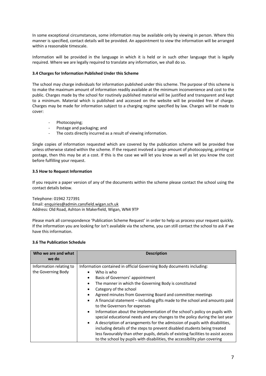In some exceptional circumstances, some information may be available only by viewing in person. Where this manner is specified, contact details will be provided. An appointment to view the information will be arranged within a reasonable timescale.

Information will be provided in the language in which it is held or in such other language that is legally required. Where we are legally required to translate any information, we shall do so.

# **3.4 Charges for Information Published Under this Scheme**

The school may charge individuals for information published under this scheme. The purpose of this scheme is to make the maximum amount of information readily available at the minimum inconvenience and cost to the public. Charges made by the school for routinely published material will be justified and transparent and kept to a minimum. Material which is published and accessed on the website will be provided free of charge. Charges may be made for information subject to a charging regime specified by law. Charges will be made to cover:

- Photocopying;
- Postage and packaging; and
- The costs directly incurred as a result of viewing information.

Single copies of information requested which are covered by the publication scheme will be provided free unless otherwise stated within the scheme. If the request involved a large amount of photocopying, printing or postage, then this may be at a cost. If this is the case we will let you know as well as let you know the cost before fulfilling your request.

# **3.5 How to Request Information**

If you require a paper version of any of the documents within the scheme please contact the school using the contact details below.

Telephone: 01942 727391 Email: enquiries@admin.cansfield.wigan.sch.uk Address: Old Road, Ashton in Makerfield, Wigan, WN4 9TP

Please mark all correspondence 'Publication Scheme Request' in order to help us process your request quickly. If the information you are looking for isn't available via the scheme, you can still contact the school to ask if we have this information.

# **3.6 The Publication Schedule**

| Who we are and what<br>we do                  | <b>Description</b>                                                                                                                                                                                                                                                                                                                                                                                                                                                                                                                                                                                                                                                                                                                                                                                                                                                                                                                                                |
|-----------------------------------------------|-------------------------------------------------------------------------------------------------------------------------------------------------------------------------------------------------------------------------------------------------------------------------------------------------------------------------------------------------------------------------------------------------------------------------------------------------------------------------------------------------------------------------------------------------------------------------------------------------------------------------------------------------------------------------------------------------------------------------------------------------------------------------------------------------------------------------------------------------------------------------------------------------------------------------------------------------------------------|
| Information relating to<br>the Governing Body | Information contained in official Governing Body documents including:<br>Who is who<br>$\bullet$<br>Basis of Governors' appointment<br>The manner in which the Governing Body is constituted<br>٠<br>Category of the school<br>٠<br>Agreed minutes from Governing Board and committee meetings<br>$\bullet$<br>A financial statement – including gifts made to the school and amounts paid<br>$\bullet$<br>to the Governors for expenses<br>Information about the implementation of the school's policy on pupils with<br>$\bullet$<br>special educational needs and any changes to the policy during the last year<br>A description of arrangements for the admission of pupils with disabilities,<br>$\bullet$<br>including details of the steps to prevent disabled students being treated<br>less favourably than other pupils, details of existing facilities to assist access<br>to the school by pupils with disabilities, the accessibility plan covering |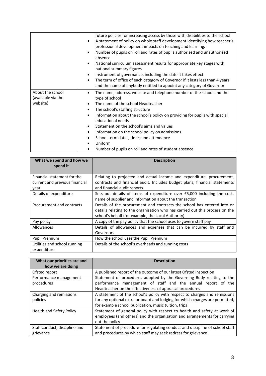|                                        | future policies for increasing access by those with disabilities to the school<br>A statement of policy on whole staff development identifying how teacher's<br>$\bullet$<br>professional development impacts on teaching and learning.<br>Number of pupils on roll and rates of pupils authorised and unauthorised<br>$\bullet$ |
|----------------------------------------|----------------------------------------------------------------------------------------------------------------------------------------------------------------------------------------------------------------------------------------------------------------------------------------------------------------------------------|
|                                        | absence<br>National curriculum assessment results for appropriate key stages with<br>$\bullet$<br>national summary figures                                                                                                                                                                                                       |
|                                        | Instrument of governance, including the date it takes effect<br>$\bullet$                                                                                                                                                                                                                                                        |
|                                        | The term of office of each category of Governor if it lasts less than 4 years<br>$\bullet$<br>and the name of anybody entitled to appoint any category of Governor                                                                                                                                                               |
| About the school<br>(available via the | The name, address, website and telephone number of the school and the<br>٠<br>type of school                                                                                                                                                                                                                                     |
| website)                               | The name of the school Headteacher                                                                                                                                                                                                                                                                                               |
|                                        | The school's staffing structure<br>$\bullet$                                                                                                                                                                                                                                                                                     |
|                                        | Information about the school's policy on providing for pupils with special<br>$\bullet$<br>educational needs                                                                                                                                                                                                                     |
|                                        | Statement on the school's aims and values<br>٠                                                                                                                                                                                                                                                                                   |
|                                        | Information on the school policy on admissions<br>$\bullet$                                                                                                                                                                                                                                                                      |
|                                        | School term dates, times and attendance<br>٠                                                                                                                                                                                                                                                                                     |
|                                        | Uniform                                                                                                                                                                                                                                                                                                                          |
|                                        | Number of pupils on roll and rates of student absence                                                                                                                                                                                                                                                                            |

| What we spend and how we<br>spend it        | <b>Description</b>                                                                                                                                                                                             |
|---------------------------------------------|----------------------------------------------------------------------------------------------------------------------------------------------------------------------------------------------------------------|
| Financial statement for the                 | Relating to projected and actual income and expenditure, procurement,                                                                                                                                          |
| current and previous financial<br>year      | contracts and financial audit. Includes budget plans, financial statements<br>and financial audit reports                                                                                                      |
| Details of expenditure                      | Sets out details of items of expenditure over £5,000 including the cost,<br>name of supplier and information about the transaction                                                                             |
| Procurement and contracts                   | Details of the procurement and contracts the school has entered into or<br>details relating to the organisation who has carried out this process on the<br>school's behalf (for example, the Local Authority). |
| Pay policy                                  | A copy of the pay policy that the school uses to govern staff pay                                                                                                                                              |
| <b>Allowances</b>                           | Details of allowances and expenses that can be incurred by staff and<br>Governors                                                                                                                              |
| Pupil Premium                               | How the school uses the Pupil Premium                                                                                                                                                                          |
| Utilities and school running<br>expenditure | Details of the school's overheads and running costs                                                                                                                                                            |

| What our priorities are and<br>how we are doing | <b>Description</b>                                                                                                       |
|-------------------------------------------------|--------------------------------------------------------------------------------------------------------------------------|
|                                                 |                                                                                                                          |
| Ofsted report                                   | A published report of the outcome of our latest Ofsted inspection                                                        |
| Performance management                          | Statement of procedures adopted by the Governing Body relating to the                                                    |
| procedures                                      | performance management of staff and the annual report of the<br>Headteacher on the effectiveness of appraisal procedures |
| Charging and remissions                         | A statement of the school's policy with respect to charges and remissions                                                |
| policies                                        | for any optional extra or board and lodging for which charges are permitted,                                             |
|                                                 | for example school publication, music tuition, trips                                                                     |
| Health and Safety Policy                        | Statement of general policy with respect to health and safety at work of                                                 |
|                                                 | employees (and others) and the organisation and arrangements for carrying                                                |
|                                                 | out the policy                                                                                                           |
| Staff conduct, discipline and                   | Statement of procedure for regulating conduct and discipline of school staff                                             |
| grievance                                       | and procedures by which staff may seek redress for grievance                                                             |